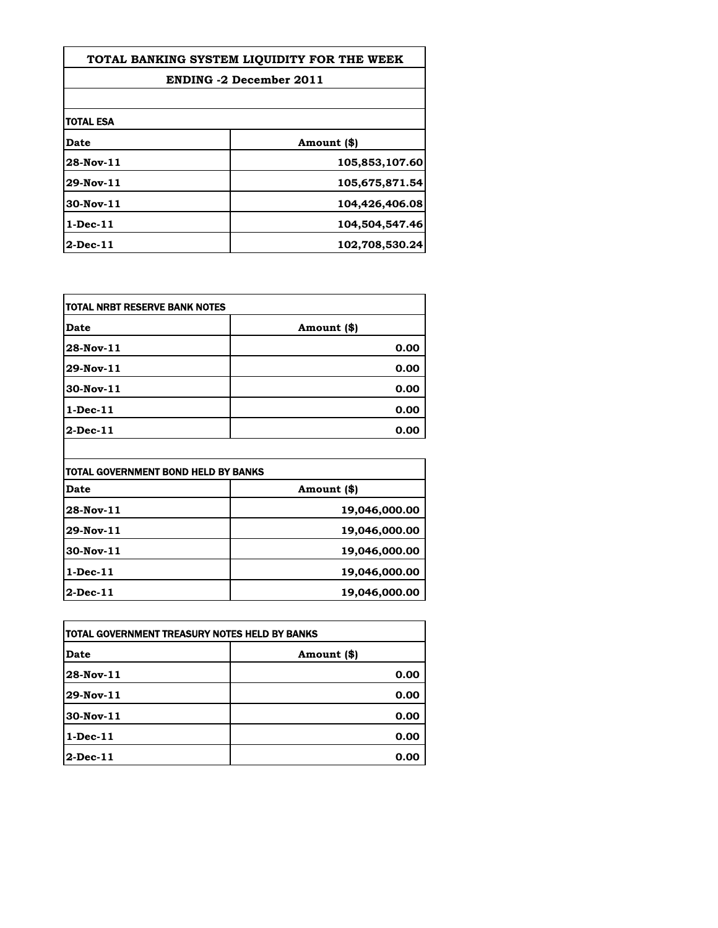| TOTAL BANKING SYSTEM LIQUIDITY FOR THE WEEK |                |
|---------------------------------------------|----------------|
| <b>ENDING -2 December 2011</b>              |                |
|                                             |                |
| <b>TOTAL ESA</b>                            |                |
| <b>Date</b>                                 | Amount (\$)    |
| $28-Nov-11$                                 | 105,853,107.60 |
| 29-Nov-11                                   | 105,675,871.54 |
| $30$ -Nov- $11$                             | 104,426,406.08 |
| $1$ -Dec- $11$                              | 104,504,547.46 |
| $2$ -Dec-11                                 | 102,708,530.24 |

| TOTAL NRBT RESERVE BANK NOTES |             |
|-------------------------------|-------------|
| <b>Date</b>                   | Amount (\$) |
| 28-Nov-11                     | 0.00        |
| 29-Nov-11                     | 0.00        |
| 30-Nov-11                     | 0.00        |
| $1-Dec-11$                    | 0.00        |
| $2-Dec-11$                    | 0.00        |

| TOTAL GOVERNMENT BOND HELD BY BANKS |               |
|-------------------------------------|---------------|
| <b>Date</b>                         | Amount (\$)   |
| 28-Nov-11                           | 19,046,000.00 |
| 29-Nov-11                           | 19,046,000.00 |
| 30-Nov-11                           | 19,046,000.00 |
| $1-Dec-11$                          | 19,046,000.00 |
| $2-Dec-11$                          | 19,046,000.00 |

| ITOTAL GOVERNMENT TREASURY NOTES HELD BY BANKS |             |
|------------------------------------------------|-------------|
| Date                                           | Amount (\$) |
| 28-Nov-11                                      | 0.00        |
| 29-Nov-11                                      | 0.00        |
| 30-Nov-11                                      | 0.00        |
| $1$ -Dec- $11$                                 | 0.00        |
| <b>2-Dec-11</b>                                | 0.00        |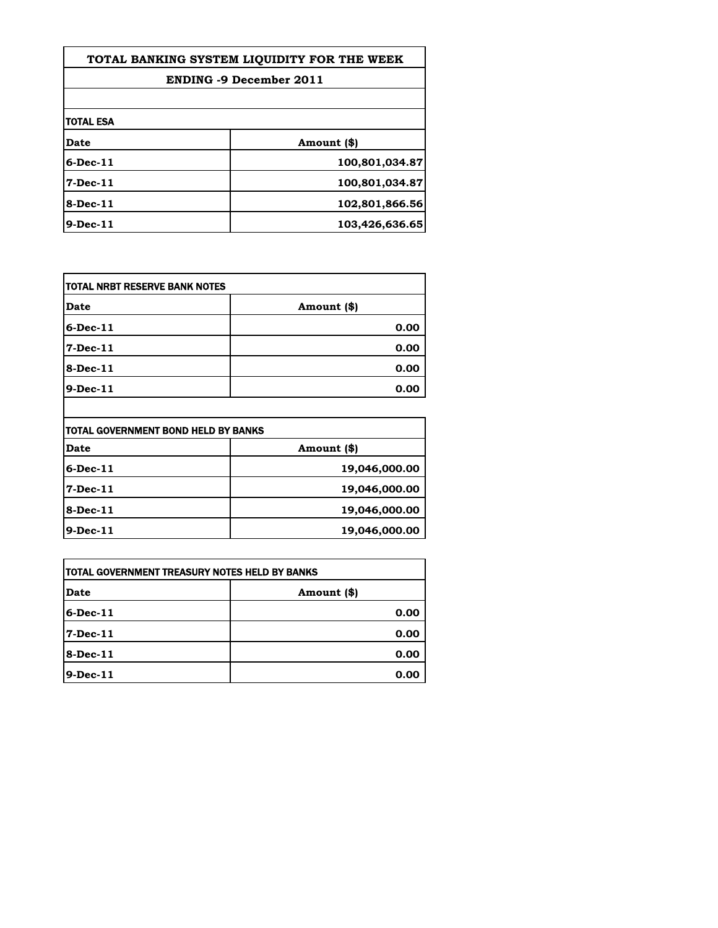| TOTAL BANKING SYSTEM LIQUIDITY FOR THE WEEK |                |
|---------------------------------------------|----------------|
| <b>ENDING -9 December 2011</b>              |                |
|                                             |                |
| <b>TOTAL ESA</b>                            |                |
| Date                                        | Amount (\$)    |
| $6$ -Dec-11                                 | 100,801,034.87 |
| $7-Dec-11$                                  | 100,801,034.87 |
| 8-Dec-11                                    | 102,801,866.56 |
| $9$ -Dec-11                                 | 103,426,636.65 |

| Date        | Amount (\$) |
|-------------|-------------|
| $6$ -Dec-11 | 0.00        |
| 7-Dec-11    | 0.00        |
| 8-Dec-11    | 0.00        |
| 9-Dec-11    | 0.00        |

| TOTAL GOVERNMENT BOND HELD BY BANKS |               |
|-------------------------------------|---------------|
| <b>Date</b>                         | Amount (\$)   |
| $6$ -Dec-11                         | 19,046,000.00 |
| 7-Dec-11                            | 19,046,000.00 |
| <b>8-Dec-11</b>                     | 19,046,000.00 |
| 9-Dec-11                            | 19,046,000.00 |

| ITOTAL GOVERNMENT TREASURY NOTES HELD BY BANKS |             |
|------------------------------------------------|-------------|
| <b>Date</b>                                    | Amount (\$) |
| $6$ -Dec-11                                    | 0.00        |
| $7-Dec-11$                                     | 0.00        |
| 8-Dec-11                                       | 0.00        |
| 9-Dec-11                                       | 0.00        |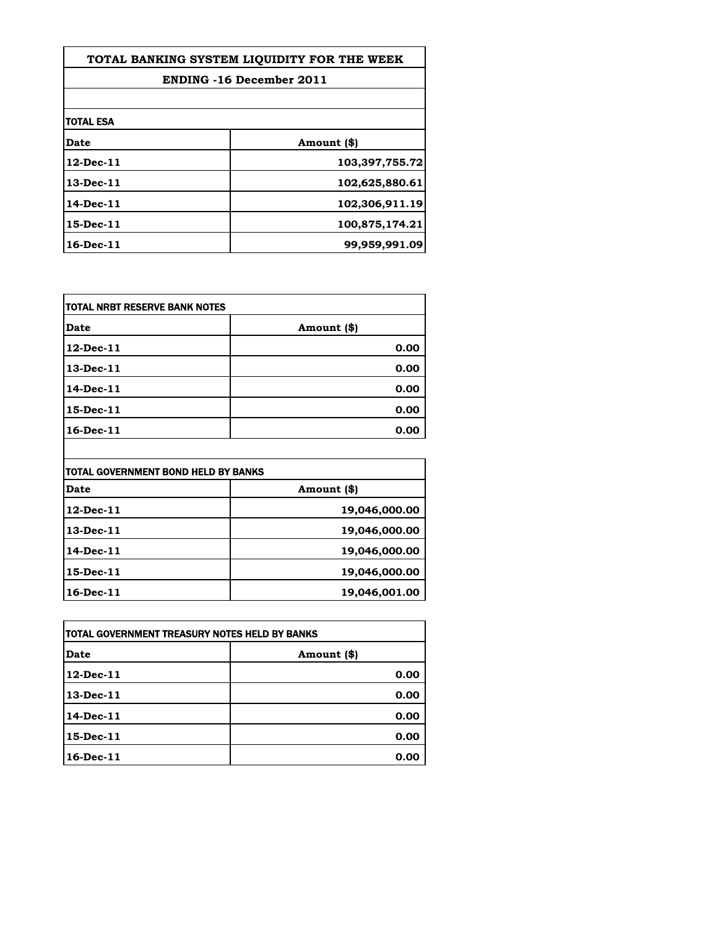| TOTAL BANKING SYSTEM LIOUIDITY FOR THE WEEK |                |
|---------------------------------------------|----------------|
| <b>ENDING -16 December 2011</b>             |                |
|                                             |                |
| itotal esa                                  |                |
| Date                                        | Amount (\$)    |
| 12-Dec-11                                   | 103,397,755.72 |
| 13-Dec-11                                   | 102,625,880.61 |
| 14-Dec-11                                   | 102,306,911.19 |
| 15-Dec-11                                   | 100,875,174.21 |
| 16-Dec-11                                   | 99,959,991.09  |

| TOTAL NRBT RESERVE BANK NOTES |             |
|-------------------------------|-------------|
| <b>Date</b>                   | Amount (\$) |
| 12-Dec-11                     | 0.00        |
| 13-Dec-11                     | 0.00        |
| 14-Dec-11                     | 0.00        |
| 15-Dec-11                     | 0.00        |
| 16-Dec-11                     | 0.00        |

| itotal Government Bond Held by Banks |               |
|--------------------------------------|---------------|
| <b>Date</b>                          | Amount (\$)   |
| 12-Dec-11                            | 19,046,000.00 |
| 13-Dec-11                            | 19,046,000.00 |
| 14-Dec-11                            | 19,046,000.00 |
| 15-Dec-11                            | 19,046,000.00 |
| 16-Dec-11                            | 19,046,001.00 |

 $\overline{\phantom{a}}$ 

| ITOTAL GOVERNMENT TREASURY NOTES HELD BY BANKS |             |
|------------------------------------------------|-------------|
| Date                                           | Amount (\$) |
| $12$ -Dec-11                                   | 0.00        |
| 13-Dec-11                                      | 0.00        |
| 14-Dec-11                                      | 0.00        |
| 15-Dec-11                                      | 0.00        |
| 16-Dec-11                                      | 0.00        |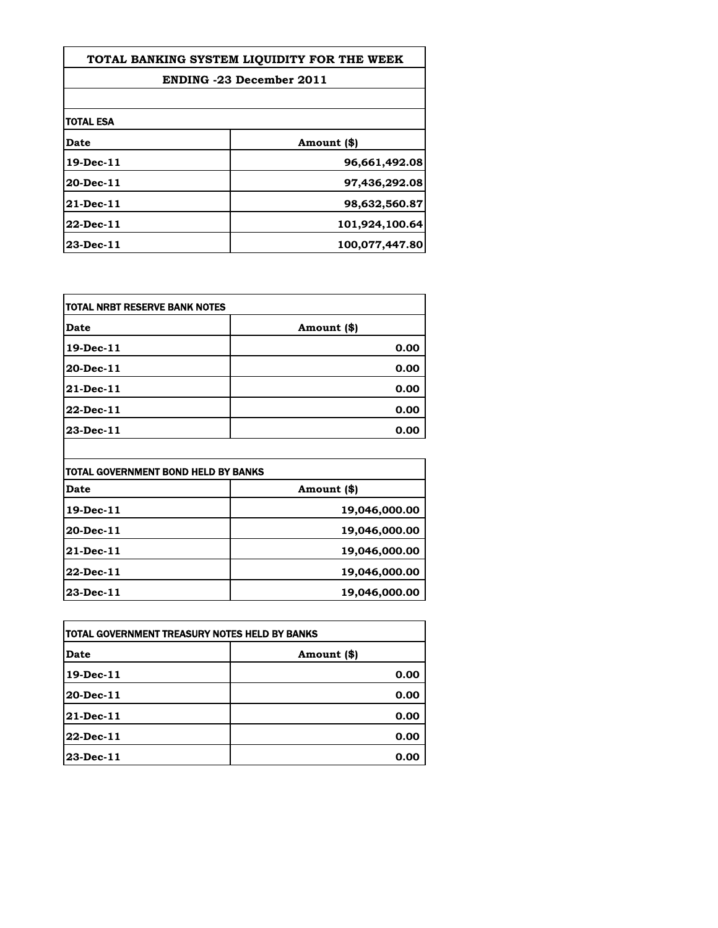| TOTAL BANKING SYSTEM LIQUIDITY FOR THE WEEK |                |
|---------------------------------------------|----------------|
| <b>ENDING -23 December 2011</b>             |                |
|                                             |                |
| <b>TOTAL ESA</b>                            |                |
| <b>Date</b>                                 | Amount (\$)    |
| 19-Dec-11                                   | 96,661,492.08  |
| 20-Dec-11                                   | 97,436,292.08  |
| 21-Dec-11                                   | 98,632,560.87  |
| 22-Dec-11                                   | 101,924,100.64 |
| 23-Dec-11                                   | 100,077,447.80 |

| TOTAL NRBT RESERVE BANK NOTES |             |
|-------------------------------|-------------|
| <b>Date</b>                   | Amount (\$) |
| 19-Dec-11                     | 0.00        |
| 20-Dec-11                     | 0.00        |
| 21-Dec-11                     | 0.00        |
| 22-Dec-11                     | 0.00        |
| 23-Dec-11                     | 0.00        |

| TOTAL GOVERNMENT BOND HELD BY BANKS |               |
|-------------------------------------|---------------|
| <b>Date</b>                         | Amount (\$)   |
| 19-Dec-11                           | 19,046,000.00 |
| 20-Dec-11                           | 19,046,000.00 |
| 21-Dec-11                           | 19,046,000.00 |
| 22-Dec-11                           | 19,046,000.00 |
| 23-Dec-11                           | 19,046,000.00 |

 $\overline{\phantom{a}}$ 

| ITOTAL GOVERNMENT TREASURY NOTES HELD BY BANKS |             |
|------------------------------------------------|-------------|
| Date                                           | Amount (\$) |
| 19-Dec-11                                      | 0.00        |
| 20-Dec-11                                      | 0.00        |
| 21-Dec-11                                      | 0.00        |
| 22-Dec-11                                      | 0.00        |
| 23-Dec-11                                      | 0.00        |